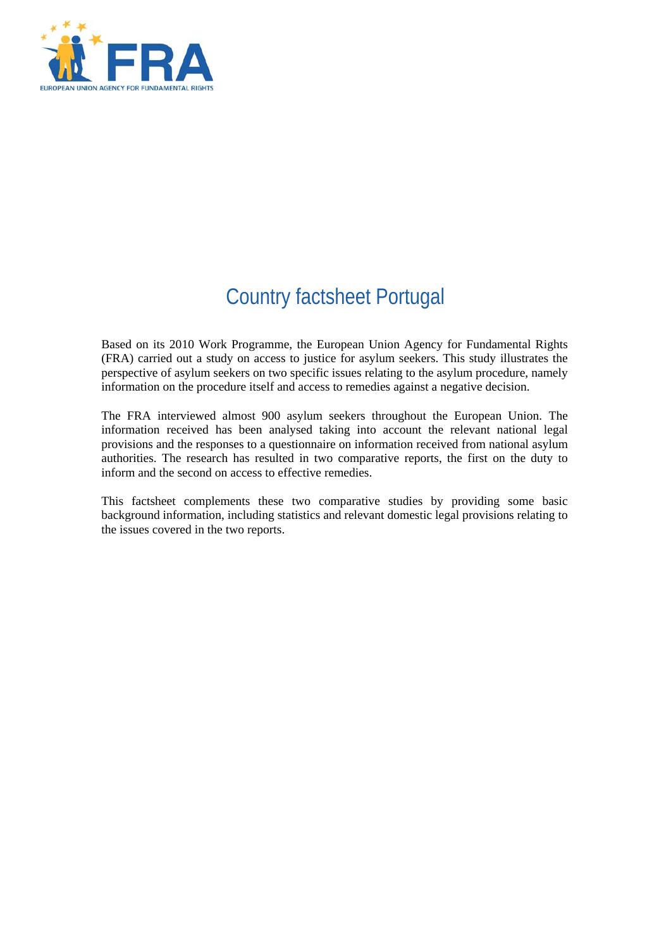

# Country factsheet Portugal

Based on its 2010 Work Programme, the European Union Agency for Fundamental Rights (FRA) carried out a study on access to justice for asylum seekers. This study illustrates the perspective of asylum seekers on two specific issues relating to the asylum procedure, namely information on the procedure itself and access to remedies against a negative decision.

The FRA interviewed almost 900 asylum seekers throughout the European Union. The information received has been analysed taking into account the relevant national legal provisions and the responses to a questionnaire on information received from national asylum authorities. The research has resulted in two comparative reports, the first on the duty to inform and the second on access to effective remedies.

This factsheet complements these two comparative studies by providing some basic background information, including statistics and relevant domestic legal provisions relating to the issues covered in the two reports.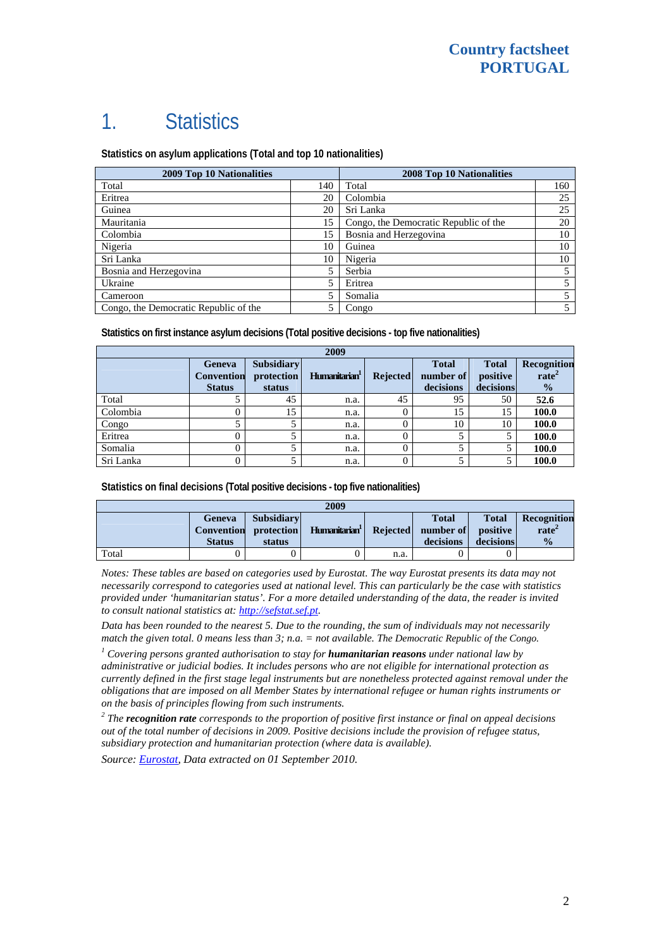# 1. Statistics

**Statistics on asylum applications (Total and top 10 nationalities)**

| <b>2009 Top 10 Nationalities</b>      | <b>2008 Top 10 Nationalities</b> |                                       |     |
|---------------------------------------|----------------------------------|---------------------------------------|-----|
| Total                                 | 140                              | Total                                 | 160 |
| Eritrea                               | 20                               | Colombia                              | 25  |
| Guinea                                | 20                               | Sri Lanka                             | 25  |
| Mauritania                            | 15                               | Congo, the Democratic Republic of the | 20  |
| Colombia                              | 15                               | Bosnia and Herzegovina                | 10  |
| Nigeria                               | 10                               | Guinea                                | 10  |
| Sri Lanka                             | 10                               | Nigeria                               | 10  |
| Bosnia and Herzegovina                | 5                                | Serbia                                |     |
| Ukraine                               | 5                                | Eritrea                               |     |
| Cameroon                              | 5                                | Somalia                               |     |
| Congo, the Democratic Republic of the | 5                                | Congo                                 |     |

**Statistics on first instance asylum decisions (Total positive decisions - top five nationalities)** 

| 2009      |                                              |                                           |                           |                 |                                        |                                       |                                                   |
|-----------|----------------------------------------------|-------------------------------------------|---------------------------|-----------------|----------------------------------------|---------------------------------------|---------------------------------------------------|
|           | Geneva<br><b>Convention</b><br><b>Status</b> | <b>Subsidiary</b><br>protection<br>status | Humanitarian <sup>1</sup> | <b>Rejected</b> | <b>Total</b><br>number of<br>decisions | <b>Total</b><br>positive<br>decisions | Recognition<br>rate <sup>2</sup><br>$\frac{1}{2}$ |
| Total     |                                              | 45                                        | n.a.                      | 45              | 95                                     | 50                                    | 52.6                                              |
| Colombia  | 0                                            | 15                                        | n.a.                      | 0               | 15                                     | 15                                    | 100.0                                             |
| Congo     |                                              |                                           | n.a.                      |                 | 10                                     | 10                                    | 100.0                                             |
| Eritrea   | 0                                            |                                           | n.a.                      |                 |                                        |                                       | 100.0                                             |
| Somalia   | 0                                            |                                           | n.a.                      |                 |                                        |                                       | 100.0                                             |
| Sri Lanka | 0                                            |                                           | n.a.                      |                 |                                        |                                       | 100.0                                             |

**Statistics on final decisions (Total positive decisions - top five nationalities)** 

| 2009  |                                |                                                      |               |          |                                        |                                       |                                             |
|-------|--------------------------------|------------------------------------------------------|---------------|----------|----------------------------------------|---------------------------------------|---------------------------------------------|
|       | <b>Geneva</b><br><b>Status</b> | <b>Subsidiary</b><br>Convention protection<br>status | Humanitarian' | Rejected | <b>Total</b><br>number of<br>decisions | <b>Total</b><br>positive<br>decisions | <b>Recognition</b><br>rate<br>$\frac{0}{0}$ |
| Total |                                |                                                      |               | n.a.     |                                        |                                       |                                             |

*Notes: These tables are based on categories used by Eurostat. The way Eurostat presents its data may not necessarily correspond to categories used at national level. This can particularly be the case with statistics provided under 'humanitarian status'. For a more detailed understanding of the data, the reader is invited to consult national statistics at: [http://sefstat.sef.pt](http://sefstat.sef.pt/).* 

*Data has been rounded to the nearest 5. Due to the rounding, the sum of individuals may not necessarily match the given total. 0 means less than 3; n.a. = not available. The Democratic Republic of the Congo.* 

<sup>1</sup> Covering persons granted authorisation to stay for **humanitarian reasons** under national law by *administrative or judicial bodies. It includes persons who are not eligible for international protection as currently defined in the first stage legal instruments but are nonetheless protected against removal under the obligations that are imposed on all Member States by international refugee or human rights instruments or on the basis of principles flowing from such instruments.* 

*2 The recognition rate corresponds to the proportion of positive first instance or final on appeal decisions out of the total number of decisions in 2009. Positive decisions include the provision of refugee status, subsidiary protection and humanitarian protection (where data is available).* 

*Source: [Eurostat](http://epp.eurostat.ec.europa.eu/), Data extracted on 01 September 2010.*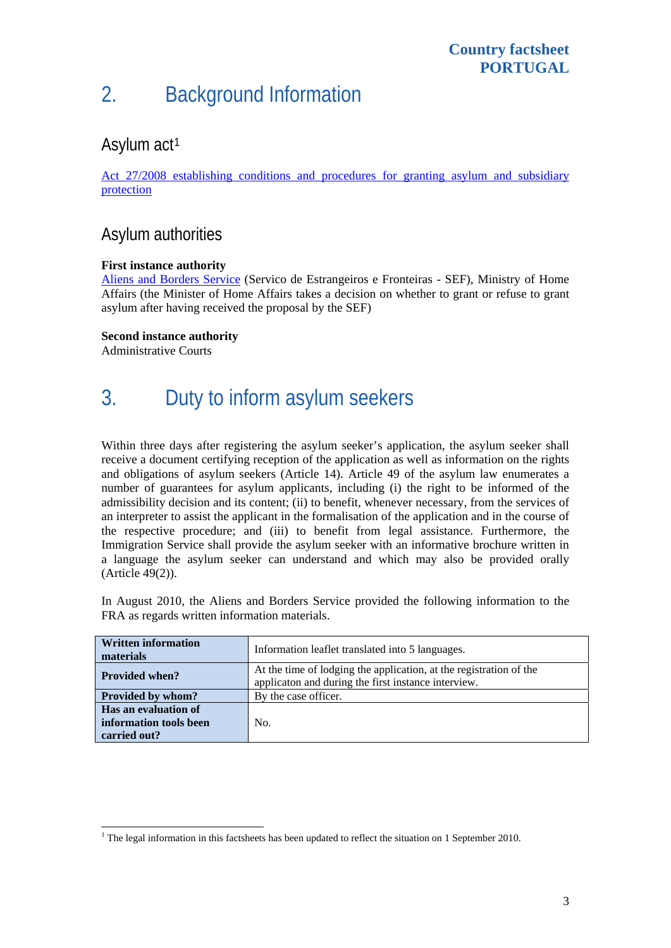# 2. Background Information

### Asylum act<sup>[1](#page-2-0)</sup>

[Act 27/2008 establishing conditions and procedures for granting asylum and subsidiary](http://www.sef.pt/documentos/56/Act27_2008_30June.pdf)  [protection](http://www.sef.pt/documentos/56/Act27_2008_30June.pdf)

### Asylum authorities

### **First instance authority**

[Aliens and Borders Service](http://www.sef.pt/portal/V10/EN/aspx/page.aspx) (Servico de Estrangeiros e Fronteiras - SEF), Ministry of Home Affairs (the Minister of Home Affairs takes a decision on whether to grant or refuse to grant asylum after having received the proposal by the SEF)

#### **Second instance authority**

Administrative Courts

# 3. Duty to inform asylum seekers

Within three days after registering the asylum seeker's application, the asylum seeker shall receive a document certifying reception of the application as well as information on the rights and obligations of asylum seekers (Article 14). Article 49 of the asylum law enumerates a number of guarantees for asylum applicants, including (i) the right to be informed of the admissibility decision and its content; (ii) to benefit, whenever necessary, from the services of an interpreter to assist the applicant in the formalisation of the application and in the course of the respective procedure; and (iii) to benefit from legal assistance. Furthermore, the Immigration Service shall provide the asylum seeker with an informative brochure written in a language the asylum seeker can understand and which may also be provided orally (Article 49(2)).

In August 2010, the Aliens and Borders Service provided the following information to the FRA as regards written information materials.

| <b>Written information</b><br>materials                        | Information leaflet translated into 5 languages.                                                                          |  |  |  |  |
|----------------------------------------------------------------|---------------------------------------------------------------------------------------------------------------------------|--|--|--|--|
| <b>Provided when?</b>                                          | At the time of lodging the application, at the registration of the<br>applicaton and during the first instance interview. |  |  |  |  |
| Provided by whom?                                              | By the case officer.                                                                                                      |  |  |  |  |
| Has an evaluation of<br>information tools been<br>carried out? | No.                                                                                                                       |  |  |  |  |

<span id="page-2-0"></span>The legal information in this factsheets has been updated to reflect the situation on 1 September 2010.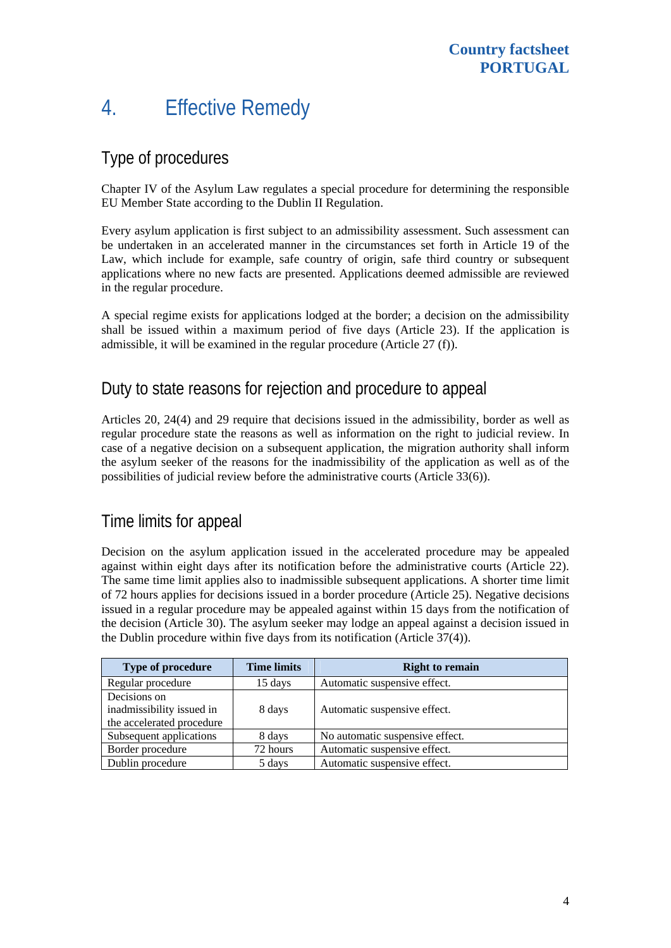## 4. Effective Remedy

### Type of procedures

Chapter IV of the Asylum Law regulates a special procedure for determining the responsible EU Member State according to the Dublin II Regulation.

Every asylum application is first subject to an admissibility assessment. Such assessment can be undertaken in an accelerated manner in the circumstances set forth in Article 19 of the Law, which include for example, safe country of origin, safe third country or subsequent applications where no new facts are presented. Applications deemed admissible are reviewed in the regular procedure.

A special regime exists for applications lodged at the border; a decision on the admissibility shall be issued within a maximum period of five days (Article 23). If the application is admissible, it will be examined in the regular procedure (Article 27 (f)).

### Duty to state reasons for rejection and procedure to appeal

Articles 20, 24(4) and 29 require that decisions issued in the admissibility, border as well as regular procedure state the reasons as well as information on the right to judicial review. In case of a negative decision on a subsequent application, the migration authority shall inform the asylum seeker of the reasons for the inadmissibility of the application as well as of the possibilities of judicial review before the administrative courts (Article 33(6)).

### Time limits for appeal

Decision on the asylum application issued in the accelerated procedure may be appealed against within eight days after its notification before the administrative courts (Article 22). The same time limit applies also to inadmissible subsequent applications. A shorter time limit of 72 hours applies for decisions issued in a border procedure (Article 25). Negative decisions issued in a regular procedure may be appealed against within 15 days from the notification of the decision (Article 30). The asylum seeker may lodge an appeal against a decision issued in the Dublin procedure within five days from its notification (Article 37(4)).

| Type of procedure                                                      | <b>Time limits</b> | <b>Right to remain</b>          |
|------------------------------------------------------------------------|--------------------|---------------------------------|
| Regular procedure                                                      | 15 days            | Automatic suspensive effect.    |
| Decisions on<br>inadmissibility issued in<br>the accelerated procedure | 8 days             | Automatic suspensive effect.    |
| Subsequent applications                                                | 8 days             | No automatic suspensive effect. |
| Border procedure                                                       | 72 hours           | Automatic suspensive effect.    |
| Dublin procedure                                                       | 5 days             | Automatic suspensive effect.    |